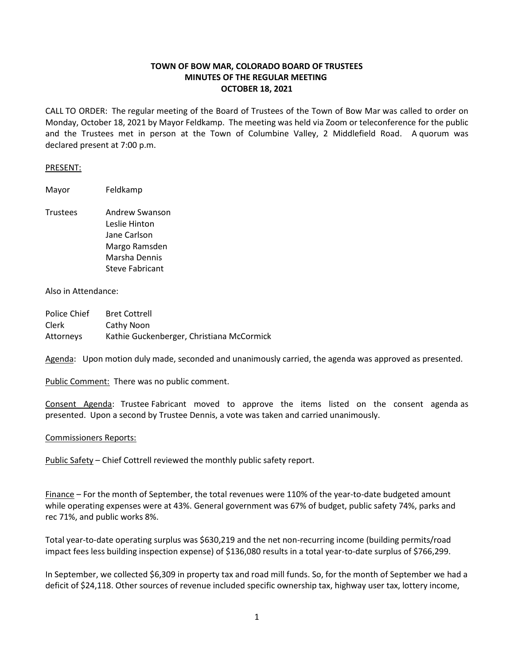# **TOWN OF BOW MAR, COLORADO BOARD OF TRUSTEES MINUTES OF THE REGULAR MEETING OCTOBER 18, 2021**

CALL TO ORDER: The regular meeting of the Board of Trustees of the Town of Bow Mar was called to order on Monday, October 18, 2021 by Mayor Feldkamp. The meeting was held via Zoom or teleconference for the public and the Trustees met in person at the Town of Columbine Valley, 2 Middlefield Road. A quorum was declared present at 7:00 p.m.

### PRESENT:

Mayor Feldkamp

Trustees Andrew Swanson Leslie Hinton Jane Carlson Margo Ramsden Marsha Dennis Steve Fabricant

## Also in Attendance:

Police Chief Bret Cottrell Clerk Cathy Noon Attorneys Kathie Guckenberger, Christiana McCormick

Agenda: Upon motion duly made, seconded and unanimously carried, the agenda was approved as presented.

Public Comment: There was no public comment.

Consent Agenda: Trustee Fabricant moved to approve the items listed on the consent agenda as presented. Upon a second by Trustee Dennis, a vote was taken and carried unanimously.

### Commissioners Reports:

Public Safety - Chief Cottrell reviewed the monthly public safety report.

Finance – For the month of September, the total revenues were 110% of the year-to-date budgeted amount while operating expenses were at 43%. General government was 67% of budget, public safety 74%, parks and rec 71%, and public works 8%.

Total year-to-date operating surplus was \$630,219 and the net non-recurring income (building permits/road impact fees less building inspection expense) of \$136,080 results in a total year-to-date surplus of \$766,299.

In September, we collected \$6,309 in property tax and road mill funds. So, for the month of September we had a deficit of \$24,118. Other sources of revenue included specific ownership tax, highway user tax, lottery income,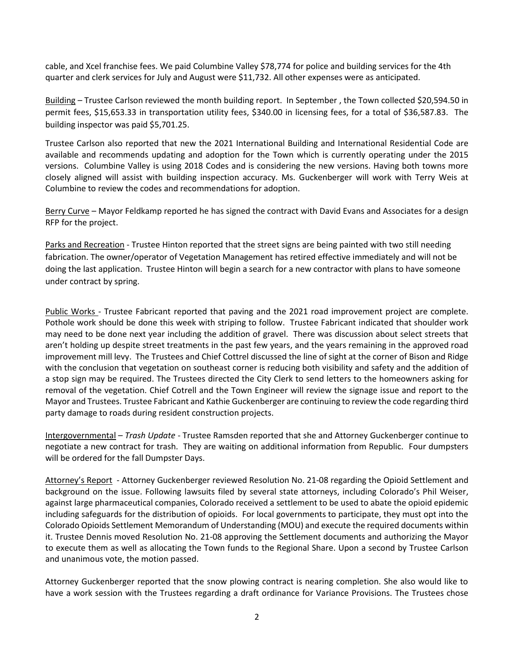cable, and Xcel franchise fees. We paid Columbine Valley \$78,774 for police and building services for the 4th quarter and clerk services for July and August were \$11,732. All other expenses were as anticipated.

Building – Trustee Carlson reviewed the month building report. In September , the Town collected \$20,594.50 in permit fees, \$15,653.33 in transportation utility fees, \$340.00 in licensing fees, for a total of \$36,587.83. The building inspector was paid \$5,701.25.

Trustee Carlson also reported that new the 2021 International Building and International Residential Code are available and recommends updating and adoption for the Town which is currently operating under the 2015 versions. Columbine Valley is using 2018 Codes and is considering the new versions. Having both towns more closely aligned will assist with building inspection accuracy. Ms. Guckenberger will work with Terry Weis at Columbine to review the codes and recommendations for adoption.

Berry Curve – Mayor Feldkamp reported he has signed the contract with David Evans and Associates for a design RFP for the project.

Parks and Recreation - Trustee Hinton reported that the street signs are being painted with two still needing fabrication. The owner/operator of Vegetation Management has retired effective immediately and will not be doing the last application. Trustee Hinton will begin a search for a new contractor with plans to have someone under contract by spring.

Public Works - Trustee Fabricant reported that paving and the 2021 road improvement project are complete. Pothole work should be done this week with striping to follow. Trustee Fabricant indicated that shoulder work may need to be done next year including the addition of gravel. There was discussion about select streets that aren't holding up despite street treatments in the past few years, and the years remaining in the approved road improvement mill levy. The Trustees and Chief Cottrel discussed the line of sight at the corner of Bison and Ridge with the conclusion that vegetation on southeast corner is reducing both visibility and safety and the addition of a stop sign may be required. The Trustees directed the City Clerk to send letters to the homeowners asking for removal of the vegetation. Chief Cotrell and the Town Engineer will review the signage issue and report to the Mayor and Trustees. Trustee Fabricant and Kathie Guckenberger are continuing to review the code regarding third party damage to roads during resident construction projects.

Intergovernmental – *Trash Update* - Trustee Ramsden reported that she and Attorney Guckenberger continue to negotiate a new contract for trash. They are waiting on additional information from Republic. Four dumpsters will be ordered for the fall Dumpster Days.

Attorney's Report - Attorney Guckenberger reviewed Resolution No. 21-08 regarding the Opioid Settlement and background on the issue. Following lawsuits filed by several state attorneys, including Colorado's Phil Weiser, against large pharmaceutical companies, Colorado received a settlement to be used to abate the opioid epidemic including safeguards for the distribution of opioids. For local governments to participate, they must opt into the Colorado Opioids Settlement Memorandum of Understanding (MOU) and execute the required documents within it. Trustee Dennis moved Resolution No. 21-08 approving the Settlement documents and authorizing the Mayor to execute them as well as allocating the Town funds to the Regional Share. Upon a second by Trustee Carlson and unanimous vote, the motion passed.

Attorney Guckenberger reported that the snow plowing contract is nearing completion. She also would like to have a work session with the Trustees regarding a draft ordinance for Variance Provisions. The Trustees chose